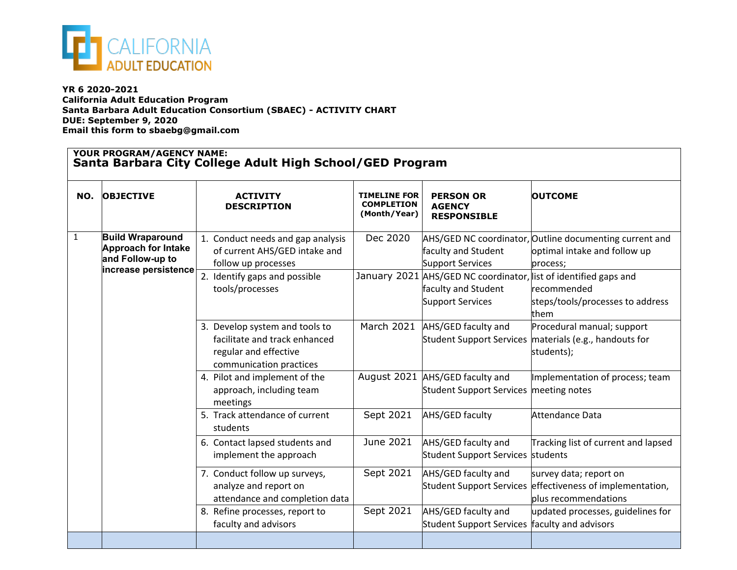

**YR 6 2020-2021 California Adult Education Program Santa Barbara Adult Education Consortium (SBAEC) - ACTIVITY CHART DUE: September 9, 2020 Email this form to sbaebg@gmail.com**

## **YOUR PROGRAM/AGENCY NAME: Santa Barbara City College Adult High School/GED Program**

| NO. | <b>OBJECTIVE</b>                                                                                  | <b>ACTIVITY</b><br><b>DESCRIPTION</b>                                                                                                         | <b>TIMELINE FOR</b><br><b>COMPLETION</b><br>(Month/Year) | <b>PERSON OR</b><br><b>AGENCY</b><br><b>RESPONSIBLE</b>                                                                                                              | <b>OUTCOME</b>                                                                                                                                         |  |
|-----|---------------------------------------------------------------------------------------------------|-----------------------------------------------------------------------------------------------------------------------------------------------|----------------------------------------------------------|----------------------------------------------------------------------------------------------------------------------------------------------------------------------|--------------------------------------------------------------------------------------------------------------------------------------------------------|--|
| 1   | <b>Build Wraparound</b><br><b>Approach for Intake</b><br>and Follow-up to<br>increase persistence | 1. Conduct needs and gap analysis<br>of current AHS/GED intake and<br>follow up processes<br>2. Identify gaps and possible<br>tools/processes | Dec 2020                                                 | faculty and Student<br><b>Support Services</b><br>January 2021 AHS/GED NC coordinator, list of identified gaps and<br>faculty and Student<br><b>Support Services</b> | AHS/GED NC coordinator, Outline documenting current and<br>optimal intake and follow up<br>process;<br>recommended<br>steps/tools/processes to address |  |
|     |                                                                                                   | 3. Develop system and tools to<br>facilitate and track enhanced<br>regular and effective<br>communication practices                           | March 2021                                               | AHS/GED faculty and                                                                                                                                                  | them<br>Procedural manual; support<br>Student Support Services materials (e.g., handouts for<br>students);                                             |  |
|     |                                                                                                   | 4. Pilot and implement of the<br>approach, including team<br>meetings                                                                         |                                                          | August 2021 AHS/GED faculty and<br>Student Support Services meeting notes                                                                                            | Implementation of process; team                                                                                                                        |  |
|     |                                                                                                   | 5. Track attendance of current<br>students                                                                                                    | Sept 2021                                                | AHS/GED faculty                                                                                                                                                      | Attendance Data                                                                                                                                        |  |
|     |                                                                                                   | 6. Contact lapsed students and<br>implement the approach                                                                                      | June 2021                                                | AHS/GED faculty and<br>Student Support Services students                                                                                                             | Tracking list of current and lapsed                                                                                                                    |  |
|     |                                                                                                   | 7. Conduct follow up surveys,<br>analyze and report on<br>attendance and completion data                                                      | Sept 2021                                                | AHS/GED faculty and<br><b>Student Support Services</b>                                                                                                               | survey data; report on<br>effectiveness of implementation,<br>plus recommendations                                                                     |  |
|     |                                                                                                   | 8. Refine processes, report to<br>faculty and advisors                                                                                        | Sept 2021                                                | AHS/GED faculty and<br><b>Student Support Services</b>                                                                                                               | updated processes, guidelines for<br>faculty and advisors                                                                                              |  |
|     |                                                                                                   |                                                                                                                                               |                                                          |                                                                                                                                                                      |                                                                                                                                                        |  |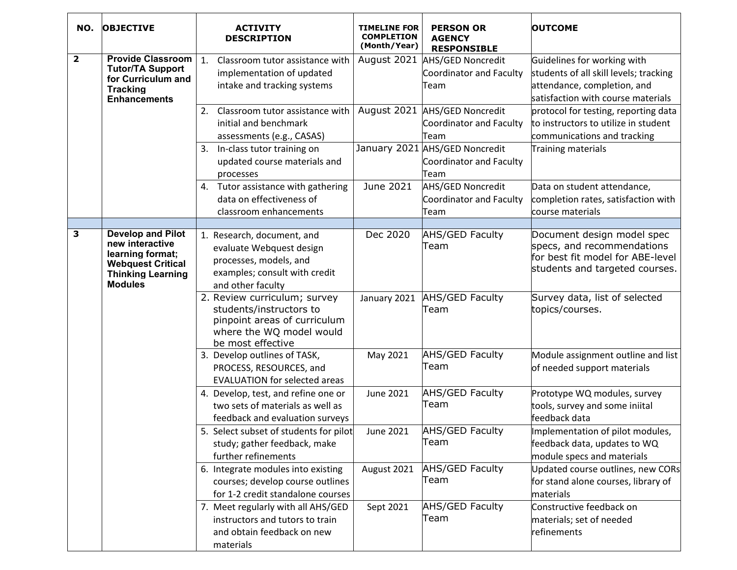| NO.                     | <b>OBJECTIVE</b>                                                                                                                          | <b>ACTIVITY</b><br><b>DESCRIPTION</b>                                                                                                    | TIMELINE FOR<br><b>COMPLETION</b><br>(Month/Year) | <b>PERSON OR</b><br><b>AGENCY</b><br><b>RESPONSIBLE</b>           | <b>OUTCOME</b>                                                                                                                             |
|-------------------------|-------------------------------------------------------------------------------------------------------------------------------------------|------------------------------------------------------------------------------------------------------------------------------------------|---------------------------------------------------|-------------------------------------------------------------------|--------------------------------------------------------------------------------------------------------------------------------------------|
| $\overline{\mathbf{2}}$ | <b>Provide Classroom</b><br><b>Tutor/TA Support</b><br>for Curriculum and<br><b>Tracking</b><br><b>Enhancements</b>                       | Classroom tutor assistance with<br>1.<br>implementation of updated<br>intake and tracking systems                                        | August 2021                                       | <b>AHS/GED Noncredit</b><br>Coordinator and Faculty<br>Team       | Guidelines for working with<br>students of all skill levels; tracking<br>attendance, completion, and<br>satisfaction with course materials |
|                         |                                                                                                                                           | 2.<br>Classroom tutor assistance with<br>initial and benchmark<br>assessments (e.g., CASAS)                                              | August 2021                                       | <b>AHS/GED Noncredit</b><br>Coordinator and Faculty<br>Team       | protocol for testing, reporting data<br>to instructors to utilize in student<br>communications and tracking                                |
|                         |                                                                                                                                           | In-class tutor training on<br>3.<br>updated course materials and<br>processes                                                            |                                                   | January 2021 AHS/GED Noncredit<br>Coordinator and Faculty<br>Team | Training materials                                                                                                                         |
|                         |                                                                                                                                           | 4. Tutor assistance with gathering<br>data on effectiveness of<br>classroom enhancements                                                 | June 2021                                         | <b>AHS/GED Noncredit</b><br>Coordinator and Faculty<br>Team       | Data on student attendance,<br>completion rates, satisfaction with<br>course materials                                                     |
|                         |                                                                                                                                           |                                                                                                                                          |                                                   |                                                                   |                                                                                                                                            |
| 3                       | <b>Develop and Pilot</b><br>new interactive<br>learning format;<br><b>Webquest Critical</b><br><b>Thinking Learning</b><br><b>Modules</b> | 1. Research, document, and<br>evaluate Webquest design<br>processes, models, and<br>examples; consult with credit<br>and other faculty   | Dec 2020                                          | <b>AHS/GED Faculty</b><br>Team                                    | Document design model spec<br>specs, and recommendations<br>for best fit model for ABE-level<br>students and targeted courses.             |
|                         |                                                                                                                                           | 2. Review curriculum; survey<br>students/instructors to<br>pinpoint areas of curriculum<br>where the WQ model would<br>be most effective | January 2021                                      | <b>AHS/GED Faculty</b><br>Team                                    | Survey data, list of selected<br>topics/courses.                                                                                           |
|                         |                                                                                                                                           | 3. Develop outlines of TASK,<br>PROCESS, RESOURCES, and<br><b>EVALUATION for selected areas</b>                                          | May 2021                                          | <b>AHS/GED Faculty</b><br>Team                                    | Module assignment outline and list<br>of needed support materials                                                                          |
|                         |                                                                                                                                           | 4. Develop, test, and refine one or<br>two sets of materials as well as<br>feedback and evaluation surveys                               | <b>June 2021</b>                                  | <b>AHS/GED Faculty</b><br>Team                                    | Prototype WQ modules, survey<br>tools, survey and some iniital<br>feedback data                                                            |
|                         |                                                                                                                                           | 5. Select subset of students for pilot<br>study; gather feedback, make<br>further refinements                                            | June 2021                                         | AHS/GED Faculty<br>Team                                           | Implementation of pilot modules,<br>feedback data, updates to WQ<br>module specs and materials                                             |
|                         |                                                                                                                                           | 6. Integrate modules into existing<br>courses; develop course outlines<br>for 1-2 credit standalone courses                              | August 2021                                       | AHS/GED Faculty<br>Team                                           | Updated course outlines, new CORs<br>for stand alone courses, library of<br>materials                                                      |
|                         |                                                                                                                                           | 7. Meet regularly with all AHS/GED<br>instructors and tutors to train<br>and obtain feedback on new<br>materials                         | Sept 2021                                         | <b>AHS/GED Faculty</b><br>Team                                    | Constructive feedback on<br>materials; set of needed<br>refinements                                                                        |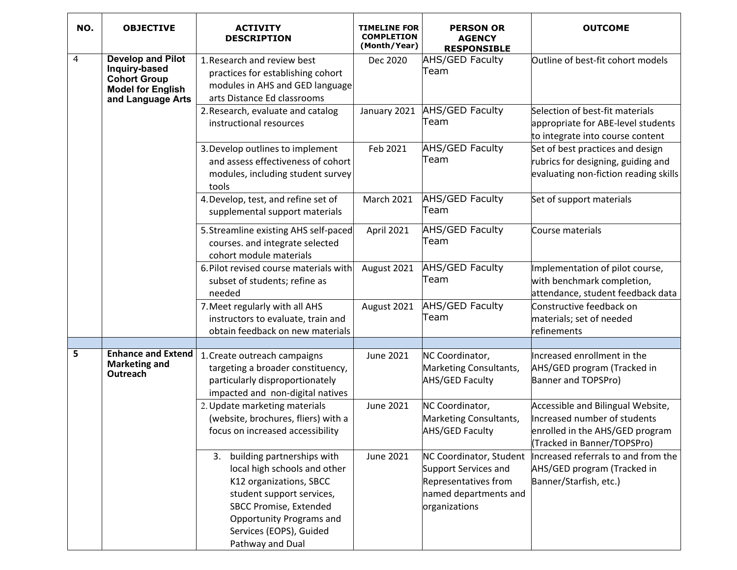| NO. | <b>OBJECTIVE</b>                                                                                                  | <b>ACTIVITY</b><br><b>DESCRIPTION</b>                                                                                                                                                                                                | TIMELINE FOR<br><b>COMPLETION</b><br>(Month/Year) | <b>PERSON OR</b><br><b>AGENCY</b><br><b>RESPONSIBLE</b>                                                           | <b>OUTCOME</b>                                                                                                                      |
|-----|-------------------------------------------------------------------------------------------------------------------|--------------------------------------------------------------------------------------------------------------------------------------------------------------------------------------------------------------------------------------|---------------------------------------------------|-------------------------------------------------------------------------------------------------------------------|-------------------------------------------------------------------------------------------------------------------------------------|
| 4   | <b>Develop and Pilot</b><br>Inquiry-based<br><b>Cohort Group</b><br><b>Model for English</b><br>and Language Arts | 1. Research and review best<br>practices for establishing cohort<br>modules in AHS and GED language<br>arts Distance Ed classrooms                                                                                                   | Dec 2020                                          | <b>AHS/GED Faculty</b><br>Team                                                                                    | Outline of best-fit cohort models                                                                                                   |
|     |                                                                                                                   | 2. Research, evaluate and catalog<br>instructional resources                                                                                                                                                                         | January 2021                                      | <b>AHS/GED Faculty</b><br>Team                                                                                    | Selection of best-fit materials<br>appropriate for ABE-level students<br>to integrate into course content                           |
|     |                                                                                                                   | 3. Develop outlines to implement<br>and assess effectiveness of cohort<br>modules, including student survey<br>tools                                                                                                                 | Feb 2021                                          | <b>AHS/GED Faculty</b><br>Team                                                                                    | Set of best practices and design<br>rubrics for designing, guiding and<br>evaluating non-fiction reading skills                     |
|     |                                                                                                                   | 4. Develop, test, and refine set of<br>supplemental support materials                                                                                                                                                                | <b>March 2021</b>                                 | <b>AHS/GED Faculty</b><br>Team                                                                                    | Set of support materials                                                                                                            |
|     |                                                                                                                   | 5. Streamline existing AHS self-paced<br>courses. and integrate selected<br>cohort module materials                                                                                                                                  | April 2021                                        | AHS/GED Faculty<br>Team                                                                                           | Course materials                                                                                                                    |
|     |                                                                                                                   | 6. Pilot revised course materials with<br>subset of students; refine as<br>needed                                                                                                                                                    | August 2021                                       | <b>AHS/GED Faculty</b><br>Team                                                                                    | Implementation of pilot course,<br>with benchmark completion,<br>attendance, student feedback data                                  |
|     |                                                                                                                   | 7. Meet regularly with all AHS<br>instructors to evaluate, train and<br>obtain feedback on new materials                                                                                                                             | August 2021                                       | <b>AHS/GED Faculty</b><br>Team                                                                                    | Constructive feedback on<br>materials; set of needed<br>refinements                                                                 |
|     |                                                                                                                   |                                                                                                                                                                                                                                      |                                                   |                                                                                                                   |                                                                                                                                     |
| 5   | <b>Enhance and Extend</b><br><b>Marketing and</b><br>Outreach                                                     | 1. Create outreach campaigns<br>targeting a broader constituency,<br>particularly disproportionately<br>impacted and non-digital natives                                                                                             | <b>June 2021</b>                                  | NC Coordinator,<br>Marketing Consultants,<br><b>AHS/GED Faculty</b>                                               | Increased enrollment in the<br>AHS/GED program (Tracked in<br>Banner and TOPSPro)                                                   |
|     |                                                                                                                   | 2. Update marketing materials<br>(website, brochures, fliers) with a<br>focus on increased accessibility                                                                                                                             | June 2021                                         | NC Coordinator,<br>Marketing Consultants,<br>AHS/GED Faculty                                                      | Accessible and Bilingual Website,<br>Increased number of students<br>enrolled in the AHS/GED program<br>(Tracked in Banner/TOPSPro) |
|     |                                                                                                                   | building partnerships with<br>3.<br>local high schools and other<br>K12 organizations, SBCC<br>student support services,<br><b>SBCC Promise, Extended</b><br>Opportunity Programs and<br>Services (EOPS), Guided<br>Pathway and Dual | <b>June 2021</b>                                  | NC Coordinator, Student<br>Support Services and<br>Representatives from<br>named departments and<br>organizations | Increased referrals to and from the<br>AHS/GED program (Tracked in<br>Banner/Starfish, etc.)                                        |